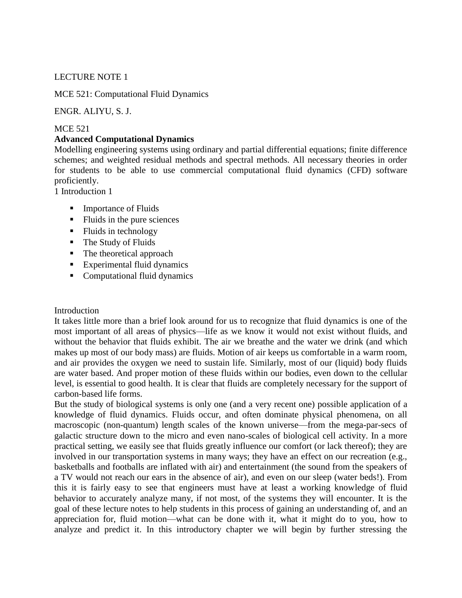## LECTURE NOTE 1

MCE 521: Computational Fluid Dynamics

ENGR. ALIYU, S. J.

#### MCE 521

#### **Advanced Computational Dynamics**

Modelling engineering systems using ordinary and partial differential equations; finite difference schemes; and weighted residual methods and spectral methods. All necessary theories in order for students to be able to use commercial computational fluid dynamics (CFD) software proficiently.

1 Introduction 1

- Importance of Fluids
- Fluids in the pure sciences
- $\blacksquare$  Fluids in technology
- The Study of Fluids
- The theoretical approach
- **Experimental fluid dynamics**
- Computational fluid dynamics

#### Introduction

It takes little more than a brief look around for us to recognize that fluid dynamics is one of the most important of all areas of physics—life as we know it would not exist without fluids, and without the behavior that fluids exhibit. The air we breathe and the water we drink (and which makes up most of our body mass) are fluids. Motion of air keeps us comfortable in a warm room, and air provides the oxygen we need to sustain life. Similarly, most of our (liquid) body fluids are water based. And proper motion of these fluids within our bodies, even down to the cellular level, is essential to good health. It is clear that fluids are completely necessary for the support of carbon-based life forms.

But the study of biological systems is only one (and a very recent one) possible application of a knowledge of fluid dynamics. Fluids occur, and often dominate physical phenomena, on all macroscopic (non-quantum) length scales of the known universe—from the mega-par-secs of galactic structure down to the micro and even nano-scales of biological cell activity. In a more practical setting, we easily see that fluids greatly influence our comfort (or lack thereof); they are involved in our transportation systems in many ways; they have an effect on our recreation (e.g., basketballs and footballs are inflated with air) and entertainment (the sound from the speakers of a TV would not reach our ears in the absence of air), and even on our sleep (water beds!). From this it is fairly easy to see that engineers must have at least a working knowledge of fluid behavior to accurately analyze many, if not most, of the systems they will encounter. It is the goal of these lecture notes to help students in this process of gaining an understanding of, and an appreciation for, fluid motion—what can be done with it, what it might do to you, how to analyze and predict it. In this introductory chapter we will begin by further stressing the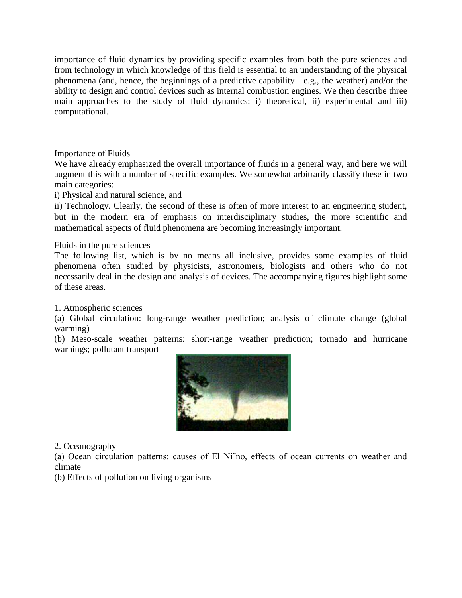importance of fluid dynamics by providing specific examples from both the pure sciences and from technology in which knowledge of this field is essential to an understanding of the physical phenomena (and, hence, the beginnings of a predictive capability—e.g., the weather) and/or the ability to design and control devices such as internal combustion engines. We then describe three main approaches to the study of fluid dynamics: i) theoretical, ii) experimental and iii) computational.

Importance of Fluids

We have already emphasized the overall importance of fluids in a general way, and here we will augment this with a number of specific examples. We somewhat arbitrarily classify these in two main categories:

i) Physical and natural science, and

ii) Technology. Clearly, the second of these is often of more interest to an engineering student, but in the modern era of emphasis on interdisciplinary studies, the more scientific and mathematical aspects of fluid phenomena are becoming increasingly important.

Fluids in the pure sciences

The following list, which is by no means all inclusive, provides some examples of fluid phenomena often studied by physicists, astronomers, biologists and others who do not necessarily deal in the design and analysis of devices. The accompanying figures highlight some of these areas.

1. Atmospheric sciences

(a) Global circulation: long-range weather prediction; analysis of climate change (global warming)

(b) Meso-scale weather patterns: short-range weather prediction; tornado and hurricane warnings; pollutant transport



2. Oceanography

(a) Ocean circulation patterns: causes of El Ni˜no, effects of ocean currents on weather and climate

(b) Effects of pollution on living organisms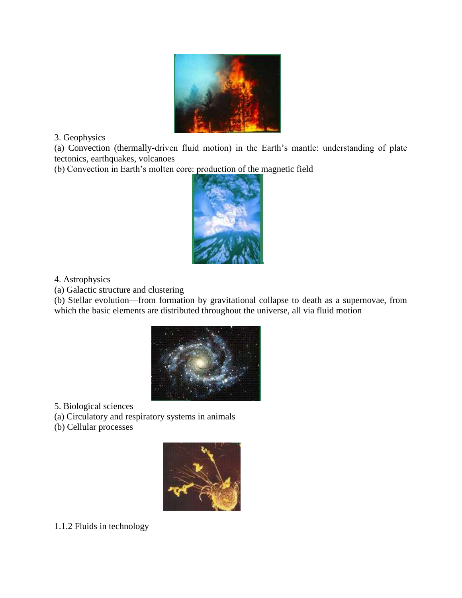

3. Geophysics

(a) Convection (thermally-driven fluid motion) in the Earth's mantle: understanding of plate tectonics, earthquakes, volcanoes

(b) Convection in Earth's molten core: production of the magnetic field



4. Astrophysics

(a) Galactic structure and clustering

(b) Stellar evolution—from formation by gravitational collapse to death as a supernovae, from which the basic elements are distributed throughout the universe, all via fluid motion



5. Biological sciences

(a) Circulatory and respiratory systems in animals

(b) Cellular processes



1.1.2 Fluids in technology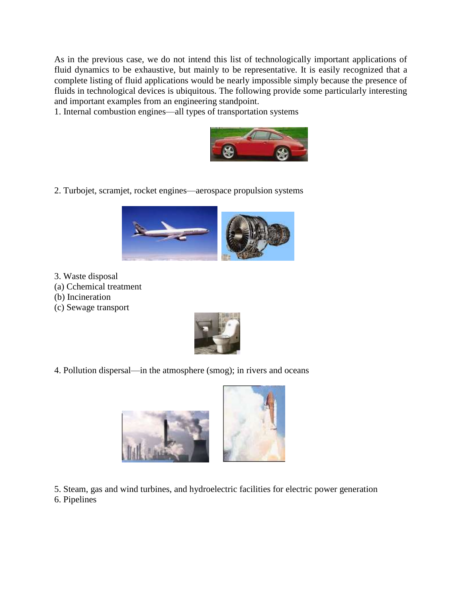As in the previous case, we do not intend this list of technologically important applications of fluid dynamics to be exhaustive, but mainly to be representative. It is easily recognized that a complete listing of fluid applications would be nearly impossible simply because the presence of fluids in technological devices is ubiquitous. The following provide some particularly interesting and important examples from an engineering standpoint.

1. Internal combustion engines—all types of transportation systems



2. Turbojet, scramjet, rocket engines—aerospace propulsion systems



3. Waste disposal (a) Cchemical treatment (b) Incineration (c) Sewage transport



4. Pollution dispersal—in the atmosphere (smog); in rivers and oceans



5. Steam, gas and wind turbines, and hydroelectric facilities for electric power generation 6. Pipelines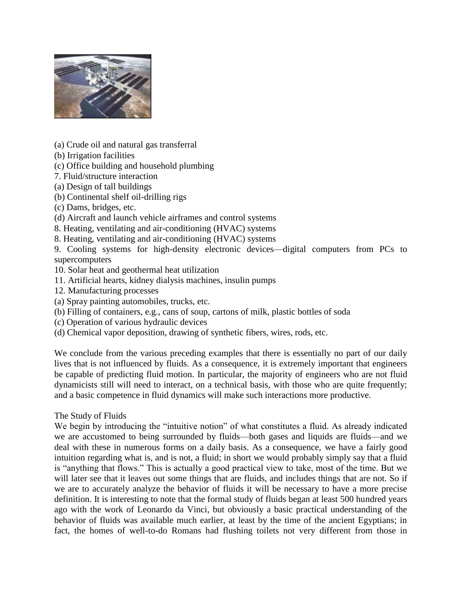

(a) Crude oil and natural gas transferral

(b) Irrigation facilities

(c) Office building and household plumbing

- 7. Fluid/structure interaction
- (a) Design of tall buildings
- (b) Continental shelf oil-drilling rigs
- (c) Dams, bridges, etc.
- (d) Aircraft and launch vehicle airframes and control systems
- 8. Heating, ventilating and air-conditioning (HVAC) systems
- 8. Heating, ventilating and air-conditioning (HVAC) systems
- 9. Cooling systems for high-density electronic devices—digital computers from PCs to supercomputers
- 10. Solar heat and geothermal heat utilization
- 11. Artificial hearts, kidney dialysis machines, insulin pumps
- 12. Manufacturing processes
- (a) Spray painting automobiles, trucks, etc.
- (b) Filling of containers, e.g., cans of soup, cartons of milk, plastic bottles of soda
- (c) Operation of various hydraulic devices
- (d) Chemical vapor deposition, drawing of synthetic fibers, wires, rods, etc.

We conclude from the various preceding examples that there is essentially no part of our daily lives that is not influenced by fluids. As a consequence, it is extremely important that engineers be capable of predicting fluid motion. In particular, the majority of engineers who are not fluid dynamicists still will need to interact, on a technical basis, with those who are quite frequently; and a basic competence in fluid dynamics will make such interactions more productive.

## The Study of Fluids

We begin by introducing the "intuitive notion" of what constitutes a fluid. As already indicated we are accustomed to being surrounded by fluids—both gases and liquids are fluids—and we deal with these in numerous forms on a daily basis. As a consequence, we have a fairly good intuition regarding what is, and is not, a fluid; in short we would probably simply say that a fluid is "anything that flows." This is actually a good practical view to take, most of the time. But we will later see that it leaves out some things that are fluids, and includes things that are not. So if we are to accurately analyze the behavior of fluids it will be necessary to have a more precise definition. It is interesting to note that the formal study of fluids began at least 500 hundred years ago with the work of Leonardo da Vinci, but obviously a basic practical understanding of the behavior of fluids was available much earlier, at least by the time of the ancient Egyptians; in fact, the homes of well-to-do Romans had flushing toilets not very different from those in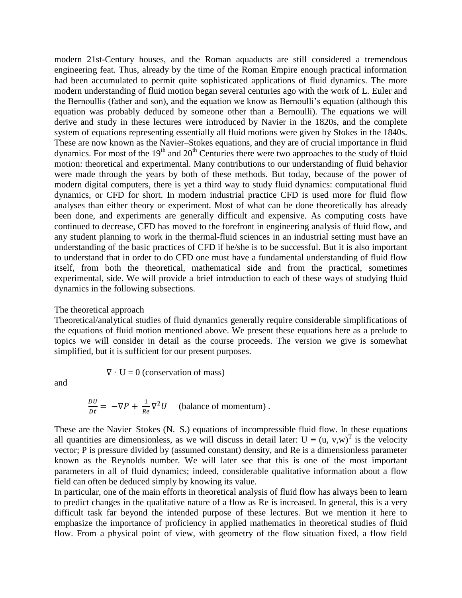modern 21st-Century houses, and the Roman aquaducts are still considered a tremendous engineering feat. Thus, already by the time of the Roman Empire enough practical information had been accumulated to permit quite sophisticated applications of fluid dynamics. The more modern understanding of fluid motion began several centuries ago with the work of L. Euler and the Bernoullis (father and son), and the equation we know as Bernoulli's equation (although this equation was probably deduced by someone other than a Bernoulli). The equations we will derive and study in these lectures were introduced by Navier in the 1820s, and the complete system of equations representing essentially all fluid motions were given by Stokes in the 1840s. These are now known as the Navier–Stokes equations, and they are of crucial importance in fluid dynamics. For most of the  $19<sup>th</sup>$  and  $20<sup>th</sup>$  Centuries there were two approaches to the study of fluid motion: theoretical and experimental. Many contributions to our understanding of fluid behavior were made through the years by both of these methods. But today, because of the power of modern digital computers, there is yet a third way to study fluid dynamics: computational fluid dynamics, or CFD for short. In modern industrial practice CFD is used more for fluid flow analyses than either theory or experiment. Most of what can be done theoretically has already been done, and experiments are generally difficult and expensive. As computing costs have continued to decrease, CFD has moved to the forefront in engineering analysis of fluid flow, and any student planning to work in the thermal-fluid sciences in an industrial setting must have an understanding of the basic practices of CFD if he/she is to be successful. But it is also important to understand that in order to do CFD one must have a fundamental understanding of fluid flow itself, from both the theoretical, mathematical side and from the practical, sometimes experimental, side. We will provide a brief introduction to each of these ways of studying fluid dynamics in the following subsections.

#### The theoretical approach

Theoretical/analytical studies of fluid dynamics generally require considerable simplifications of the equations of fluid motion mentioned above. We present these equations here as a prelude to topics we will consider in detail as the course proceeds. The version we give is somewhat simplified, but it is sufficient for our present purposes.

and

$$
f_{\rm{max}}
$$

 $\nabla \cdot U = 0$  (conservation of mass)

$$
\frac{DU}{Dt} = -\nabla P + \frac{1}{Re} \nabla^2 U
$$
 (balance of momentum).

These are the Navier–Stokes (N.–S.) equations of incompressible fluid flow. In these equations all quantities are dimensionless, as we will discuss in detail later:  $U \equiv (u, v, w)^T$  is the velocity vector; P is pressure divided by (assumed constant) density, and Re is a dimensionless parameter known as the Reynolds number. We will later see that this is one of the most important parameters in all of fluid dynamics; indeed, considerable qualitative information about a flow field can often be deduced simply by knowing its value.

In particular, one of the main efforts in theoretical analysis of fluid flow has always been to learn to predict changes in the qualitative nature of a flow as Re is increased. In general, this is a very difficult task far beyond the intended purpose of these lectures. But we mention it here to emphasize the importance of proficiency in applied mathematics in theoretical studies of fluid flow. From a physical point of view, with geometry of the flow situation fixed, a flow field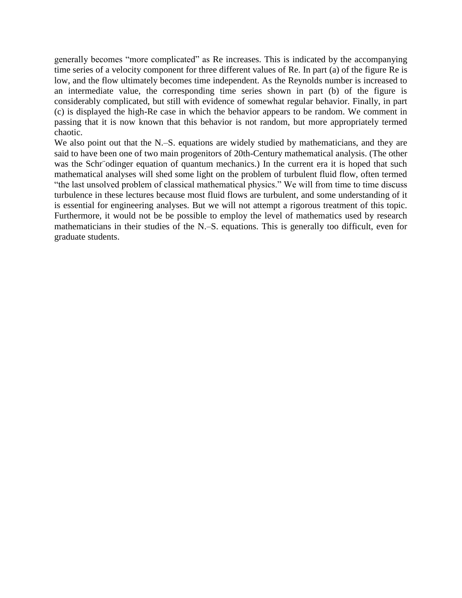generally becomes "more complicated" as Re increases. This is indicated by the accompanying time series of a velocity component for three different values of Re. In part (a) of the figure Re is low, and the flow ultimately becomes time independent. As the Reynolds number is increased to an intermediate value, the corresponding time series shown in part (b) of the figure is considerably complicated, but still with evidence of somewhat regular behavior. Finally, in part (c) is displayed the high-Re case in which the behavior appears to be random. We comment in passing that it is now known that this behavior is not random, but more appropriately termed chaotic.

We also point out that the N.–S. equations are widely studied by mathematicians, and they are said to have been one of two main progenitors of 20th-Century mathematical analysis. (The other was the Schr<sup>"</sup>odinger equation of quantum mechanics.) In the current era it is hoped that such mathematical analyses will shed some light on the problem of turbulent fluid flow, often termed "the last unsolved problem of classical mathematical physics." We will from time to time discuss turbulence in these lectures because most fluid flows are turbulent, and some understanding of it is essential for engineering analyses. But we will not attempt a rigorous treatment of this topic. Furthermore, it would not be be possible to employ the level of mathematics used by research mathematicians in their studies of the N.–S. equations. This is generally too difficult, even for graduate students.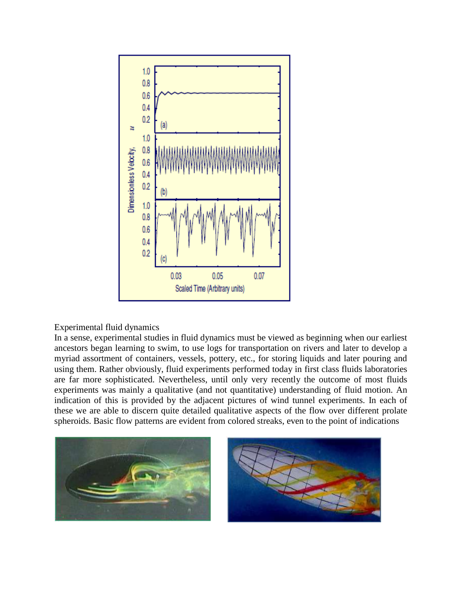

## Experimental fluid dynamics

In a sense, experimental studies in fluid dynamics must be viewed as beginning when our earliest ancestors began learning to swim, to use logs for transportation on rivers and later to develop a myriad assortment of containers, vessels, pottery, etc., for storing liquids and later pouring and using them. Rather obviously, fluid experiments performed today in first class fluids laboratories are far more sophisticated. Nevertheless, until only very recently the outcome of most fluids experiments was mainly a qualitative (and not quantitative) understanding of fluid motion. An indication of this is provided by the adjacent pictures of wind tunnel experiments. In each of these we are able to discern quite detailed qualitative aspects of the flow over different prolate spheroids. Basic flow patterns are evident from colored streaks, even to the point of indications



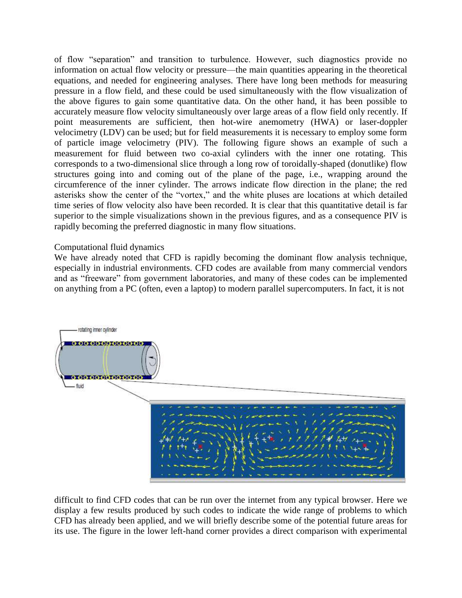of flow "separation" and transition to turbulence. However, such diagnostics provide no information on actual flow velocity or pressure—the main quantities appearing in the theoretical equations, and needed for engineering analyses. There have long been methods for measuring pressure in a flow field, and these could be used simultaneously with the flow visualization of the above figures to gain some quantitative data. On the other hand, it has been possible to accurately measure flow velocity simultaneously over large areas of a flow field only recently. If point measurements are sufficient, then hot-wire anemometry (HWA) or laser-doppler velocimetry (LDV) can be used; but for field measurements it is necessary to employ some form of particle image velocimetry (PIV). The following figure shows an example of such a measurement for fluid between two co-axial cylinders with the inner one rotating. This corresponds to a two-dimensional slice through a long row of toroidally-shaped (donutlike) flow structures going into and coming out of the plane of the page, i.e., wrapping around the circumference of the inner cylinder. The arrows indicate flow direction in the plane; the red asterisks show the center of the "vortex," and the white pluses are locations at which detailed time series of flow velocity also have been recorded. It is clear that this quantitative detail is far superior to the simple visualizations shown in the previous figures, and as a consequence PIV is rapidly becoming the preferred diagnostic in many flow situations.

#### Computational fluid dynamics

We have already noted that CFD is rapidly becoming the dominant flow analysis technique, especially in industrial environments. CFD codes are available from many commercial vendors and as "freeware" from government laboratories, and many of these codes can be implemented on anything from a PC (often, even a laptop) to modern parallel supercomputers. In fact, it is not



difficult to find CFD codes that can be run over the internet from any typical browser. Here we display a few results produced by such codes to indicate the wide range of problems to which CFD has already been applied, and we will briefly describe some of the potential future areas for its use. The figure in the lower left-hand corner provides a direct comparison with experimental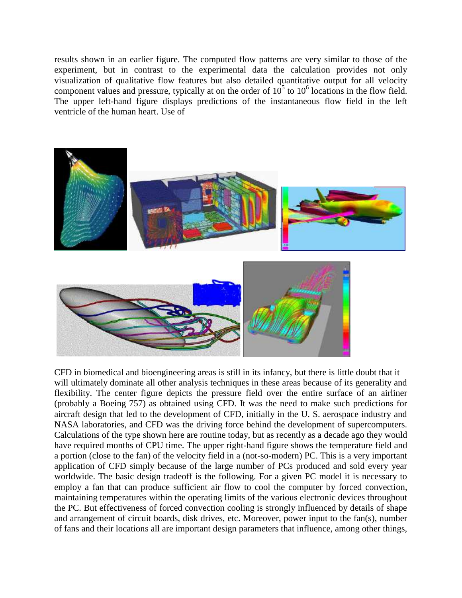results shown in an earlier figure. The computed flow patterns are very similar to those of the experiment, but in contrast to the experimental data the calculation provides not only visualization of qualitative flow features but also detailed quantitative output for all velocity component values and pressure, typically at on the order of  $10^5$  to  $10^6$  locations in the flow field. The upper left-hand figure displays predictions of the instantaneous flow field in the left ventricle of the human heart. Use of



CFD in biomedical and bioengineering areas is still in its infancy, but there is little doubt that it will ultimately dominate all other analysis techniques in these areas because of its generality and flexibility. The center figure depicts the pressure field over the entire surface of an airliner (probably a Boeing 757) as obtained using CFD. It was the need to make such predictions for aircraft design that led to the development of CFD, initially in the U. S. aerospace industry and NASA laboratories, and CFD was the driving force behind the development of supercomputers. Calculations of the type shown here are routine today, but as recently as a decade ago they would have required months of CPU time. The upper right-hand figure shows the temperature field and a portion (close to the fan) of the velocity field in a (not-so-modern) PC. This is a very important application of CFD simply because of the large number of PCs produced and sold every year worldwide. The basic design tradeoff is the following. For a given PC model it is necessary to employ a fan that can produce sufficient air flow to cool the computer by forced convection, maintaining temperatures within the operating limits of the various electronic devices throughout the PC. But effectiveness of forced convection cooling is strongly influenced by details of shape and arrangement of circuit boards, disk drives, etc. Moreover, power input to the fan(s), number of fans and their locations all are important design parameters that influence, among other things,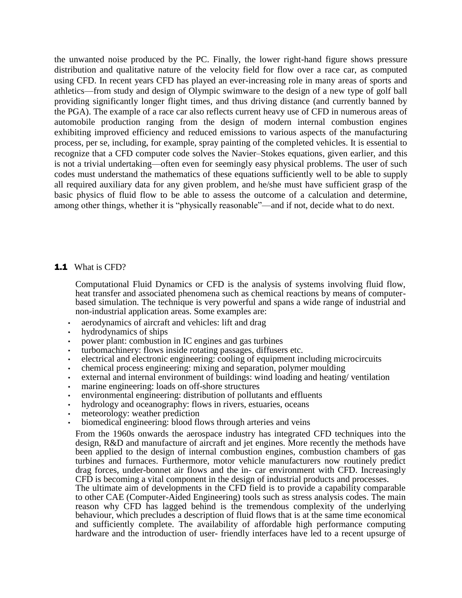the unwanted noise produced by the PC. Finally, the lower right-hand figure shows pressure distribution and qualitative nature of the velocity field for flow over a race car, as computed using CFD. In recent years CFD has played an ever-increasing role in many areas of sports and athletics—from study and design of Olympic swimware to the design of a new type of golf ball providing significantly longer flight times, and thus driving distance (and currently banned by the PGA). The example of a race car also reflects current heavy use of CFD in numerous areas of automobile production ranging from the design of modern internal combustion engines exhibiting improved efficiency and reduced emissions to various aspects of the manufacturing process, per se, including, for example, spray painting of the completed vehicles. It is essential to recognize that a CFD computer code solves the Navier–Stokes equations, given earlier, and this is not a trivial undertaking—often even for seemingly easy physical problems. The user of such codes must understand the mathematics of these equations sufficiently well to be able to supply all required auxiliary data for any given problem, and he/she must have sufficient grasp of the basic physics of fluid flow to be able to assess the outcome of a calculation and determine, among other things, whether it is "physically reasonable"—and if not, decide what to do next.

#### **1.1** What is CFD?

Computational Fluid Dynamics or CFD is the analysis of systems involving fluid flow, heat transfer and associated phenomena such as chemical reactions by means of computerbased simulation. The technique is very powerful and spans a wide range of industrial and non-industrial application areas. Some examples are:

- aerodynamics of aircraft and vehicles: lift and drag
- hydrodynamics of ships
- power plant: combustion in IC engines and gas turbines
- turbomachinery: flows inside rotating passages, diffusers etc.
- electrical and electronic engineering: cooling of equipment including microcircuits
- chemical process engineering: mixing and separation, polymer moulding
- external and internal environment of buildings: wind loading and heating/ ventilation
- marine engineering: loads on off-shore structures
- environmental engineering: distribution of pollutants and effluents
- hydrology and oceanography: flows in rivers, estuaries, oceans
- meteorology: weather prediction
- biomedical engineering: blood flows through arteries and veins

From the 1960s onwards the aerospace industry has integrated CFD techniques into the design, R&D and manufacture of aircraft and jet engines. More recently the methods have been applied to the design of internal combustion engines, combustion chambers of gas turbines and furnaces. Furthermore, motor vehicle manufacturers now routinely predict drag forces, under-bonnet air flows and the in- car environment with CFD. Increasingly CFD is becoming a vital component in the design of industrial products and processes.

The ultimate aim of developments in the CFD field is to provide a capability comparable to other CAE (Computer-Aided Engineering) tools such as stress analysis codes. The main reason why CFD has lagged behind is the tremendous complexity of the underlying behaviour, which precludes a description of fluid flows that is at the same time economical and sufficiently complete. The availability of affordable high performance computing hardware and the introduction of user- friendly interfaces have led to a recent upsurge of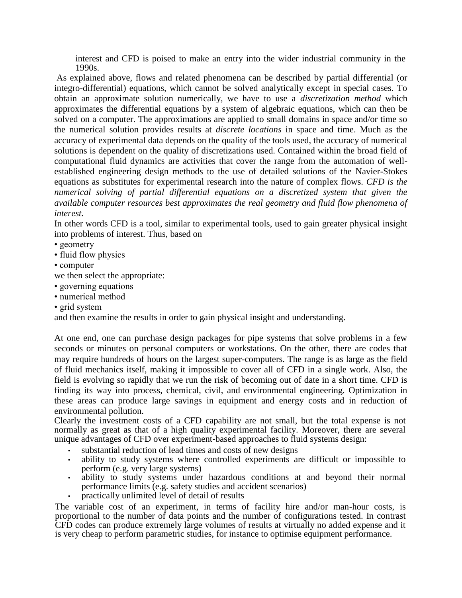interest and CFD is poised to make an entry into the wider industrial community in the 1990s.

As explained above, flows and related phenomena can be described by partial differential (or integro-differential) equations, which cannot be solved analytically except in special cases. To obtain an approximate solution numerically, we have to use a *discretization method* which approximates the differential equations by a system of algebraic equations, which can then be solved on a computer. The approximations are applied to small domains in space and/or time so the numerical solution provides results at *discrete locations* in space and time. Much as the accuracy of experimental data depends on the quality of the tools used, the accuracy of numerical solutions is dependent on the quality of discretizations used. Contained within the broad field of computational fluid dynamics are activities that cover the range from the automation of wellestablished engineering design methods to the use of detailed solutions of the Navier-Stokes equations as substitutes for experimental research into the nature of complex flows. *CFD is the numerical solving of partial differential equations on a discretized system that given the available computer resources best approximates the real geometry and fluid flow phenomena of interest.*

In other words CFD is a tool, similar to experimental tools, used to gain greater physical insight into problems of interest. Thus, based on

- geometry
- fluid flow physics
- computer

we then select the appropriate:

- governing equations
- numerical method
- grid system

and then examine the results in order to gain physical insight and understanding.

At one end, one can purchase design packages for pipe systems that solve problems in a few seconds or minutes on personal computers or workstations. On the other, there are codes that may require hundreds of hours on the largest super-computers. The range is as large as the field of fluid mechanics itself, making it impossible to cover all of CFD in a single work. Also, the field is evolving so rapidly that we run the risk of becoming out of date in a short time. CFD is finding its way into process, chemical, civil, and environmental engineering. Optimization in these areas can produce large savings in equipment and energy costs and in reduction of environmental pollution.

Clearly the investment costs of a CFD capability are not small, but the total expense is not normally as great as that of a high quality experimental facility. Moreover, there are several unique advantages of CFD over experiment-based approaches to fluid systems design:

- substantial reduction of lead times and costs of new designs
- ability to study systems where controlled experiments are difficult or impossible to perform (e.g. very large systems)
- ability to study systems under hazardous conditions at and beyond their normal performance limits (e.g. safety studies and accident scenarios)
- practically unlimited level of detail of results

The variable cost of an experiment, in terms of facility hire and/or man-hour costs, is proportional to the number of data points and the number of configurations tested. In contrast CFD codes can produce extremely large volumes of results at virtually no added expense and it is very cheap to perform parametric studies, for instance to optimise equipment performance.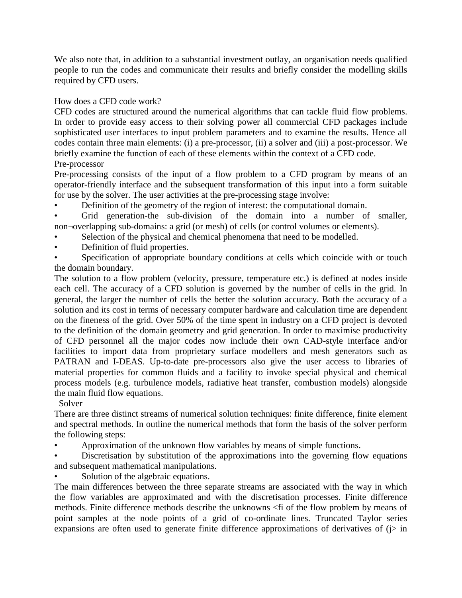We also note that, in addition to a substantial investment outlay, an organisation needs qualified people to run the codes and communicate their results and briefly consider the modelling skills required by CFD users.

# How does a CFD code work?

CFD codes are structured around the numerical algorithms that can tackle fluid flow problems. In order to provide easy access to their solving power all commercial CFD packages include sophisticated user interfaces to input problem parameters and to examine the results. Hence all codes contain three main elements: (i) a pre-processor, (ii) a solver and (iii) a post-processor. We briefly examine the function of each of these elements within the context of a CFD code. Pre-processor

Pre-processing consists of the input of a flow problem to a CFD program by means of an operator-friendly interface and the subsequent transformation of this input into a form suitable for use by the solver. The user activities at the pre-processing stage involve:

• Definition of the geometry of the region of interest: the computational domain.

Grid generation-the sub-division of the domain into a number of smaller, non¬overlapping sub-domains: a grid (or mesh) of cells (or control volumes or elements).

- Selection of the physical and chemical phenomena that need to be modelled.
- Definition of fluid properties.
- Specification of appropriate boundary conditions at cells which coincide with or touch the domain boundary.

The solution to a flow problem (velocity, pressure, temperature etc.) is defined at nodes inside each cell. The accuracy of a CFD solution is governed by the number of cells in the grid. In general, the larger the number of cells the better the solution accuracy. Both the accuracy of a solution and its cost in terms of necessary computer hardware and calculation time are dependent on the fineness of the grid. Over 50% of the time spent in industry on a CFD project is devoted to the definition of the domain geometry and grid generation. In order to maximise productivity of CFD personnel all the major codes now include their own CAD-style interface and/or facilities to import data from proprietary surface modellers and mesh generators such as PATRAN and I-DEAS. Up-to-date pre-processors also give the user access to libraries of material properties for common fluids and a facility to invoke special physical and chemical process models (e.g. turbulence models, radiative heat transfer, combustion models) alongside the main fluid flow equations.

Solver

There are three distinct streams of numerical solution techniques: finite difference, finite element and spectral methods. In outline the numerical methods that form the basis of the solver perform the following steps:

- Approximation of the unknown flow variables by means of simple functions.
- Discretisation by substitution of the approximations into the governing flow equations and subsequent mathematical manipulations.
- Solution of the algebraic equations.

The main differences between the three separate streams are associated with the way in which the flow variables are approximated and with the discretisation processes. Finite difference methods. Finite difference methods describe the unknowns <fi of the flow problem by means of point samples at the node points of a grid of co-ordinate lines. Truncated Taylor series expansions are often used to generate finite difference approximations of derivatives of  $(i>$  in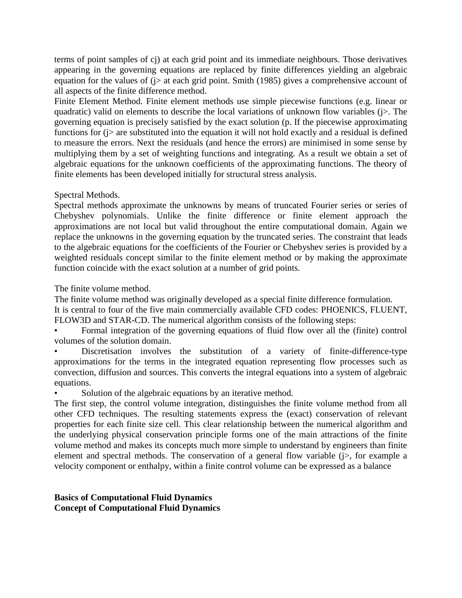terms of point samples of cj) at each grid point and its immediate neighbours. Those derivatives appearing in the governing equations are replaced by finite differences yielding an algebraic equation for the values of ( $i$ ) at each grid point. Smith (1985) gives a comprehensive account of all aspects of the finite difference method.

Finite Element Method. Finite element methods use simple piecewise functions (e.g. linear or quadratic) valid on elements to describe the local variations of unknown flow variables ( $\geq$ . The governing equation is precisely satisfied by the exact solution (p. If the piecewise approximating functions for ( $j$  are substituted into the equation it will not hold exactly and a residual is defined to measure the errors. Next the residuals (and hence the errors) are minimised in some sense by multiplying them by a set of weighting functions and integrating. As a result we obtain a set of algebraic equations for the unknown coefficients of the approximating functions. The theory of finite elements has been developed initially for structural stress analysis.

Spectral Methods.

Spectral methods approximate the unknowns by means of truncated Fourier series or series of Chebyshev polynomials. Unlike the finite difference or finite element approach the approximations are not local but valid throughout the entire computational domain. Again we replace the unknowns in the governing equation by the truncated series. The constraint that leads to the algebraic equations for the coefficients of the Fourier or Chebyshev series is provided by a weighted residuals concept similar to the finite element method or by making the approximate function coincide with the exact solution at a number of grid points.

The finite volume method.

The finite volume method was originally developed as a special finite difference formulation.

It is central to four of the five main commercially available CFD codes: PHOENICS, FLUENT, FLOW3D and STAR-CD. The numerical algorithm consists of the following steps:

• Formal integration of the governing equations of fluid flow over all the (finite) control volumes of the solution domain.

Discretisation involves the substitution of a variety of finite-difference-type approximations for the terms in the integrated equation representing flow processes such as convection, diffusion and sources. This converts the integral equations into a system of algebraic equations.

Solution of the algebraic equations by an iterative method.

The first step, the control volume integration, distinguishes the finite volume method from all other CFD techniques. The resulting statements express the (exact) conservation of relevant properties for each finite size cell. This clear relationship between the numerical algorithm and the underlying physical conservation principle forms one of the main attractions of the finite volume method and makes its concepts much more simple to understand by engineers than finite element and spectral methods. The conservation of a general flow variable (j>, for example a velocity component or enthalpy, within a finite control volume can be expressed as a balance

**Basics of Computational Fluid Dynamics Concept of Computational Fluid Dynamics**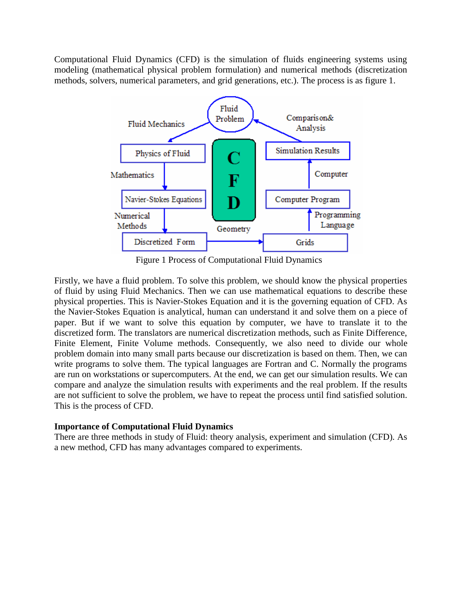Computational Fluid Dynamics (CFD) is the simulation of fluids engineering systems using modeling (mathematical physical problem formulation) and numerical methods (discretization methods, solvers, numerical parameters, and grid generations, etc.). The process is as figure 1.



Figure 1 Process of Computational Fluid Dynamics

Firstly, we have a fluid problem. To solve this problem, we should know the physical properties of fluid by using Fluid Mechanics. Then we can use mathematical equations to describe these physical properties. This is Navier-Stokes Equation and it is the governing equation of CFD. As the Navier-Stokes Equation is analytical, human can understand it and solve them on a piece of paper. But if we want to solve this equation by computer, we have to translate it to the discretized form. The translators are numerical discretization methods, such as Finite Difference, Finite Element, Finite Volume methods. Consequently, we also need to divide our whole problem domain into many small parts because our discretization is based on them. Then, we can write programs to solve them. The typical languages are Fortran and C. Normally the programs are run on workstations or supercomputers. At the end, we can get our simulation results. We can compare and analyze the simulation results with experiments and the real problem. If the results are not sufficient to solve the problem, we have to repeat the process until find satisfied solution. This is the process of CFD.

#### **Importance of Computational Fluid Dynamics**

There are three methods in study of Fluid: theory analysis, experiment and simulation (CFD). As a new method, CFD has many advantages compared to experiments.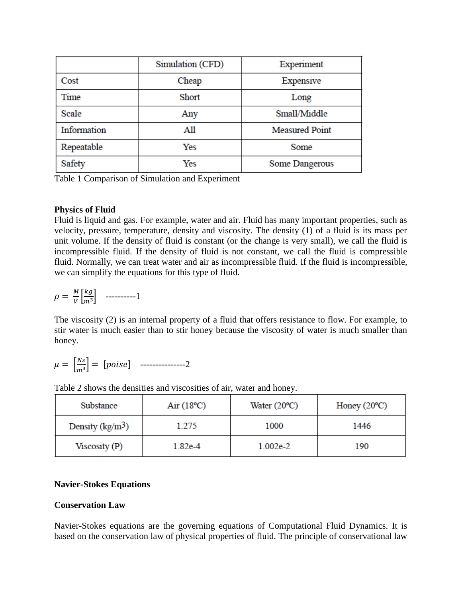|             | Simulation (CFD) | Experiment            |  |
|-------------|------------------|-----------------------|--|
| Cost        | Cheap            | Expensive             |  |
| Time        | Short            | Long                  |  |
| Scale       | Any              | Small/Middle          |  |
| Information | All              | <b>Measured Point</b> |  |
| Repeatable  | Yes              | Some                  |  |
| Safety      | Yes              | <b>Some Dangerous</b> |  |

Table 1 Comparison of Simulation and Experiment

#### **Physics of Fluid**

Fluid is liquid and gas. For example, water and air. Fluid has many important properties, such as velocity, pressure, temperature, density and viscosity. The density (1) of a fluid is its mass per unit volume. If the density of fluid is constant (or the change is very small), we call the fluid is incompressible fluid. If the density of fluid is not constant, we call the fluid is compressible fluid. Normally, we can treat water and air as incompressible fluid. If the fluid is incompressible, we can simplify the equations for this type of fluid.

$$
\rho = \frac{M}{V} \left[ \frac{kg}{m^3} \right] \quad \text{---}
$$

The viscosity (2) is an internal property of a fluid that offers resistance to flow. For example, to stir water is much easier than to stir honey because the viscosity of water is much smaller than honey.

$$
\mu = \begin{bmatrix} \frac{Ns}{m^3} \end{bmatrix} = [poise] \quad \text{---}
$$

Table 2 shows the densities and viscosities of air, water and honey.

| Substance                       | Air $(18^{\circ}C)$ | Water $(20^{\circ}C)$ | Honey $(20^{\circ}C)$ |
|---------------------------------|---------------------|-----------------------|-----------------------|
| Density $\frac{\text{kg}}{m^3}$ | 1.275               | 1000                  | 1446                  |
| Viscosity (P)                   | 1.82e-4             | 1.002e-2              | 190                   |

#### **Navier-Stokes Equations**

#### **Conservation Law**

Navier-Stokes equations are the governing equations of Computational Fluid Dynamics. It is based on the conservation law of physical properties of fluid. The principle of conservational law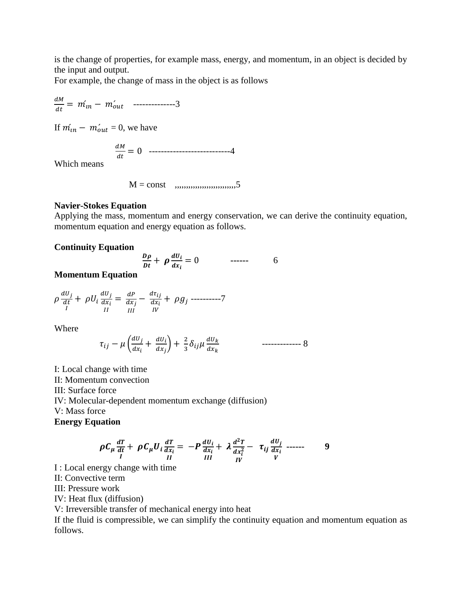is the change of properties, for example mass, energy, and momentum, in an object is decided by the input and output.

For example, the change of mass in the object is as follows

$$
\frac{dM}{dt} = m'_{in} - m'_{out} \quad \text{---} \quad 3
$$

If  $m'_{in} - m'_{out} = 0$ , we have

 ---------------------------4

Which means

 $M = const$  ,,,,,,,,,,,,,,,,,,,,,,,,,,,5

### **Navier-Stokes Equation**

Applying the mass, momentum and energy conservation, we can derive the continuity equation, momentum equation and energy equation as follows.

#### **Continuity Equation**

 $\frac{D\rho}{Dt}$  +  $\rho \frac{d}{d}$  $\frac{u v_i}{dx_i} = 0$  ------ 6

**Momentum Equation**

 ----------7

D

Where

$$
\tau_{ij} - \mu \left( \frac{dU_j}{dx_i} + \frac{dU_i}{dx_j} \right) + \frac{2}{3} \delta_{ij} \mu \frac{dU_k}{dx_k} \qquad \qquad \text{---}
$$

I: Local change with time

II: Momentum convection

III: Surface force

IV: Molecular-dependent momentum exchange (diffusion)

V: Mass force

**Energy Equation**

$$
\rho C_{\mu} \frac{dT}{dt} + \rho C_{\mu} U_i \frac{dT}{dx_i} = -P \frac{dU_i}{dx_i} + \lambda \frac{d^2 T}{dx_i^2} - \tau_{ij} \frac{dU_j}{dx_i} \dots \dots \qquad 9
$$

I : Local energy change with time

II: Convective term

III: Pressure work

IV: Heat flux (diffusion)

V: Irreversible transfer of mechanical energy into heat

If the fluid is compressible, we can simplify the continuity equation and momentum equation as follows.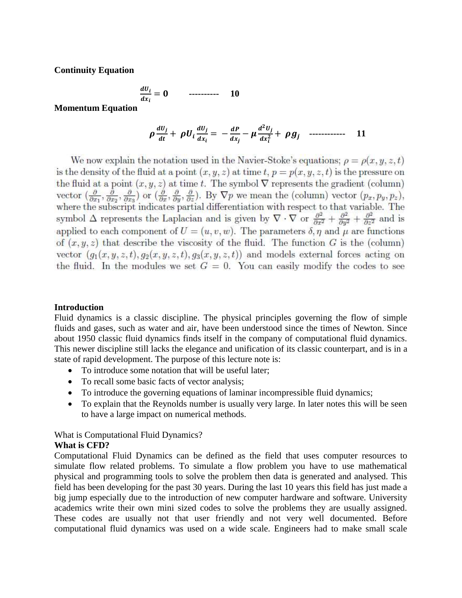**Continuity Equation**

$$
\frac{dU_i}{dx_i} = \mathbf{0} \qquad \qquad \text{---} \qquad \qquad \mathbf{10}
$$

### **Momentum Equation**

$$
\rho \frac{dU_j}{dt} + \rho U_i \frac{dU_j}{dx_i} = -\frac{dP}{dx_j} - \mu \frac{d^2U_j}{dx_i^2} + \rho g_j
$$
 11

We now explain the notation used in the Navier-Stoke's equations;  $\rho = \rho(x, y, z, t)$ is the density of the fluid at a point  $(x, y, z)$  at time  $t, p = p(x, y, z, t)$  is the pressure on the fluid at a point  $(x, y, z)$  at time t. The symbol  $\nabla$  represents the gradient (column) vector  $(\frac{\partial}{\partial x_1}, \frac{\partial}{\partial x_2}, \frac{\partial}{\partial x_3})$  or  $(\frac{\partial}{\partial x}, \frac{\partial}{\partial y}, \frac{\partial}{\partial z})$ . By  $\nabla p$  we mean the (column) vector  $(p_x, p_y, p_z)$ , where the subscript indicates partial differentiation with respect to that variable. The symbol  $\Delta$  represents the Laplacian and is given by  $\nabla \cdot \nabla$  or  $\frac{\partial^2}{\partial x^2} + \frac{\partial^2}{\partial y^2} + \frac{\partial^2}{\partial z^2}$  and is applied to each component of  $U = (u, v, w)$ . The parameters  $\delta, \eta$  and  $\mu$  are functions of  $(x, y, z)$  that describe the viscosity of the fluid. The function G is the (column) vector  $(g_1(x, y, z, t), g_2(x, y, z, t), g_3(x, y, z, t))$  and models external forces acting on the fluid. In the modules we set  $G = 0$ . You can easily modify the codes to see

#### **Introduction**

Fluid dynamics is a classic discipline. The physical principles governing the flow of simple fluids and gases, such as water and air, have been understood since the times of Newton. Since about 1950 classic fluid dynamics finds itself in the company of computational fluid dynamics. This newer discipline still lacks the elegance and unification of its classic counterpart, and is in a state of rapid development. The purpose of this lecture note is:

- To introduce some notation that will be useful later;
- To recall some basic facts of vector analysis;
- To introduce the governing equations of laminar incompressible fluid dynamics;
- To explain that the Reynolds number is usually very large. In later notes this will be seen to have a large impact on numerical methods.

What is Computational Fluid Dynamics?

#### **What is CFD?**

Computational Fluid Dynamics can be defined as the field that uses computer resources to simulate flow related problems. To simulate a flow problem you have to use mathematical physical and programming tools to solve the problem then data is generated and analysed. This field has been developing for the past 30 years. During the last 10 years this field has just made a big jump especially due to the introduction of new computer hardware and software. University academics write their own mini sized codes to solve the problems they are usually assigned. These codes are usually not that user friendly and not very well documented. Before computational fluid dynamics was used on a wide scale. Engineers had to make small scale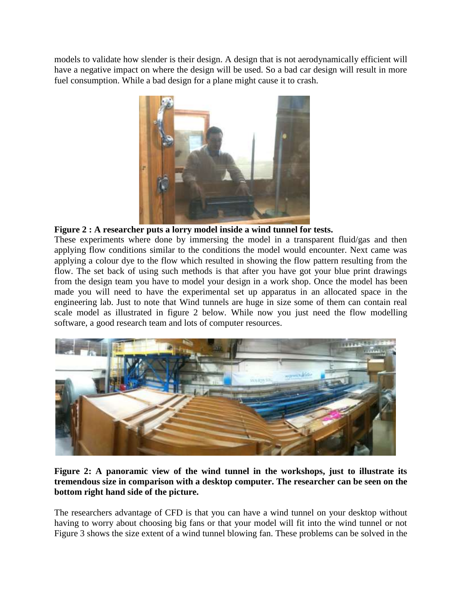models to validate how slender is their design. A design that is not aerodynamically efficient will have a negative impact on where the design will be used. So a bad car design will result in more fuel consumption. While a bad design for a plane might cause it to crash.



### **Figure 2 : A researcher puts a lorry model inside a wind tunnel for tests.**

These experiments where done by immersing the model in a transparent fluid/gas and then applying flow conditions similar to the conditions the model would encounter. Next came was applying a colour dye to the flow which resulted in showing the flow pattern resulting from the flow. The set back of using such methods is that after you have got your blue print drawings from the design team you have to model your design in a work shop. Once the model has been made you will need to have the experimental set up apparatus in an allocated space in the engineering lab. Just to note that Wind tunnels are huge in size some of them can contain real scale model as illustrated in figure 2 below. While now you just need the flow modelling software, a good research team and lots of computer resources.



**Figure 2: A panoramic view of the wind tunnel in the workshops, just to illustrate its tremendous size in comparison with a desktop computer. The researcher can be seen on the bottom right hand side of the picture.** 

The researchers advantage of CFD is that you can have a wind tunnel on your desktop without having to worry about choosing big fans or that your model will fit into the wind tunnel or not Figure 3 shows the size extent of a wind tunnel blowing fan. These problems can be solved in the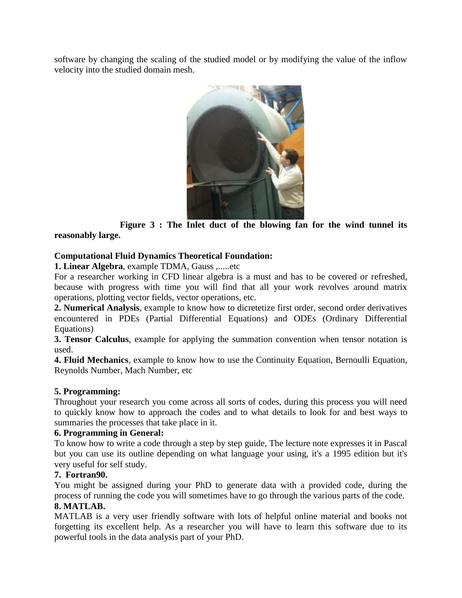software by changing the scaling of the studied model or by modifying the value of the inflow velocity into the studied domain mesh.



 **Figure 3 : The Inlet duct of the blowing fan for the wind tunnel its reasonably large.**

# **Computational Fluid Dynamics Theoretical Foundation:**

**1. Linear Algebra**, example TDMA, Gauss ,.....etc

For a researcher working in CFD linear algebra is a must and has to be covered or refreshed, because with progress with time you will find that all your work revolves around matrix operations, plotting vector fields, vector operations, etc.

**2. Numerical Analysis**, example to know how to dicretetize first order, second order derivatives encountered in PDEs (Partial Differential Equations) and ODEs (Ordinary Differential Equations)

**3. Tensor Calculus**, example for applying the summation convention when tensor notation is used.

**4. Fluid Mechanics**, example to know how to use the Continuity Equation, Bernoulli Equation, Reynolds Number, Mach Number, etc

## **5. Programming:**

Throughout your research you come across all sorts of codes, during this process you will need to quickly know how to approach the codes and to what details to look for and best ways to summaries the processes that take place in it.

# **6. Programming in General:**

To know how to write a code through a step by step guide, The lecture note expresses it in Pascal but you can use its outline depending on what language your using, it's a 1995 edition but it's very useful for self study.

## **7. Fortran90.**

You might be assigned during your PhD to generate data with a provided code, during the process of running the code you will sometimes have to go through the various parts of the code.

#### **8. MATLAB.**

MATLAB is a very user friendly software with lots of helpful online material and books not forgetting its excellent help. As a researcher you will have to learn this software due to its powerful tools in the data analysis part of your PhD.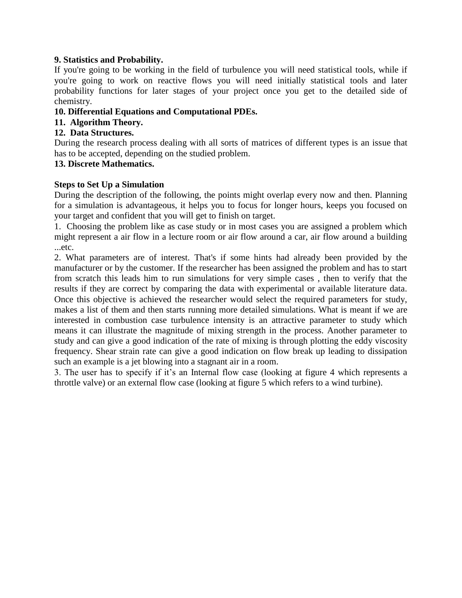### **9. Statistics and Probability.**

If you're going to be working in the field of turbulence you will need statistical tools, while if you're going to work on reactive flows you will need initially statistical tools and later probability functions for later stages of your project once you get to the detailed side of chemistry.

### **10. Differential Equations and Computational PDEs.**

### **11. Algorithm Theory.**

### **12. Data Structures.**

During the research process dealing with all sorts of matrices of different types is an issue that has to be accepted, depending on the studied problem.

### **13. Discrete Mathematics.**

### **Steps to Set Up a Simulation**

During the description of the following, the points might overlap every now and then. Planning for a simulation is advantageous, it helps you to focus for longer hours, keeps you focused on your target and confident that you will get to finish on target.

1. Choosing the problem like as case study or in most cases you are assigned a problem which might represent a air flow in a lecture room or air flow around a car, air flow around a building ...etc.

2. What parameters are of interest. That's if some hints had already been provided by the manufacturer or by the customer. If the researcher has been assigned the problem and has to start from scratch this leads him to run simulations for very simple cases , then to verify that the results if they are correct by comparing the data with experimental or available literature data. Once this objective is achieved the researcher would select the required parameters for study, makes a list of them and then starts running more detailed simulations. What is meant if we are interested in combustion case turbulence intensity is an attractive parameter to study which means it can illustrate the magnitude of mixing strength in the process. Another parameter to study and can give a good indication of the rate of mixing is through plotting the eddy viscosity frequency. Shear strain rate can give a good indication on flow break up leading to dissipation such an example is a jet blowing into a stagnant air in a room.

3. The user has to specify if it's an Internal flow case (looking at figure 4 which represents a throttle valve) or an external flow case (looking at figure 5 which refers to a wind turbine).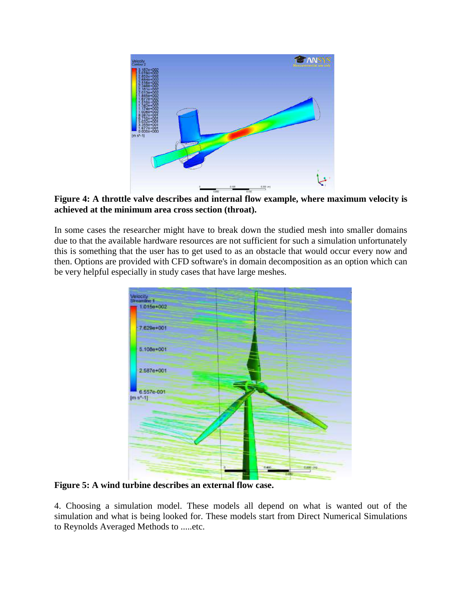

**Figure 4: A throttle valve describes and internal flow example, where maximum velocity is achieved at the minimum area cross section (throat).**

In some cases the researcher might have to break down the studied mesh into smaller domains due to that the available hardware resources are not sufficient for such a simulation unfortunately this is something that the user has to get used to as an obstacle that would occur every now and then. Options are provided with CFD software's in domain decomposition as an option which can be very helpful especially in study cases that have large meshes.



**Figure 5: A wind turbine describes an external flow case.** 

4. Choosing a simulation model. These models all depend on what is wanted out of the simulation and what is being looked for. These models start from Direct Numerical Simulations to Reynolds Averaged Methods to .....etc.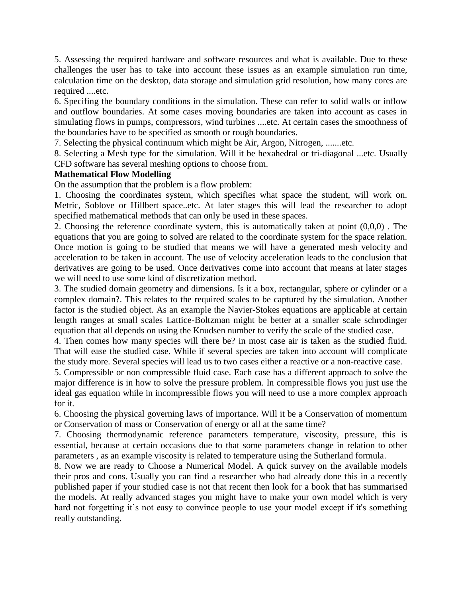5. Assessing the required hardware and software resources and what is available. Due to these challenges the user has to take into account these issues as an example simulation run time, calculation time on the desktop, data storage and simulation grid resolution, how many cores are required ....etc.

6. Specifing the boundary conditions in the simulation. These can refer to solid walls or inflow and outflow boundaries. At some cases moving boundaries are taken into account as cases in simulating flows in pumps, compressors, wind turbines ....etc. At certain cases the smoothness of the boundaries have to be specified as smooth or rough boundaries.

7. Selecting the physical continuum which might be Air, Argon, Nitrogen, .......etc.

8. Selecting a Mesh type for the simulation. Will it be hexahedral or tri-diagonal ...etc. Usually CFD software has several meshing options to choose from.

#### **Mathematical Flow Modelling**

On the assumption that the problem is a flow problem:

1. Choosing the coordinates system, which specifies what space the student, will work on. Metric, Soblove or Hillbert space..etc. At later stages this will lead the researcher to adopt specified mathematical methods that can only be used in these spaces.

2. Choosing the reference coordinate system, this is automatically taken at point (0,0,0) . The equations that you are going to solved are related to the coordinate system for the space relation. Once motion is going to be studied that means we will have a generated mesh velocity and acceleration to be taken in account. The use of velocity acceleration leads to the conclusion that derivatives are going to be used. Once derivatives come into account that means at later stages we will need to use some kind of discretization method.

3. The studied domain geometry and dimensions. Is it a box, rectangular, sphere or cylinder or a complex domain?. This relates to the required scales to be captured by the simulation. Another factor is the studied object. As an example the Navier-Stokes equations are applicable at certain length ranges at small scales Lattice-Boltzman might be better at a smaller scale schrodinger equation that all depends on using the Knudsen number to verify the scale of the studied case.

4. Then comes how many species will there be? in most case air is taken as the studied fluid. That will ease the studied case. While if several species are taken into account will complicate the study more. Several species will lead us to two cases either a reactive or a non-reactive case.

5. Compressible or non compressible fluid case. Each case has a different approach to solve the major difference is in how to solve the pressure problem. In compressible flows you just use the ideal gas equation while in incompressible flows you will need to use a more complex approach for it.

6. Choosing the physical governing laws of importance. Will it be a Conservation of momentum or Conservation of mass or Conservation of energy or all at the same time?

7. Choosing thermodynamic reference parameters temperature, viscosity, pressure, this is essential, because at certain occasions due to that some parameters change in relation to other parameters , as an example viscosity is related to temperature using the Sutherland formula.

8. Now we are ready to Choose a Numerical Model. A quick survey on the available models their pros and cons. Usually you can find a researcher who had already done this in a recently published paper if your studied case is not that recent then look for a book that has summarised the models. At really advanced stages you might have to make your own model which is very hard not forgetting it's not easy to convince people to use your model except if it's something really outstanding.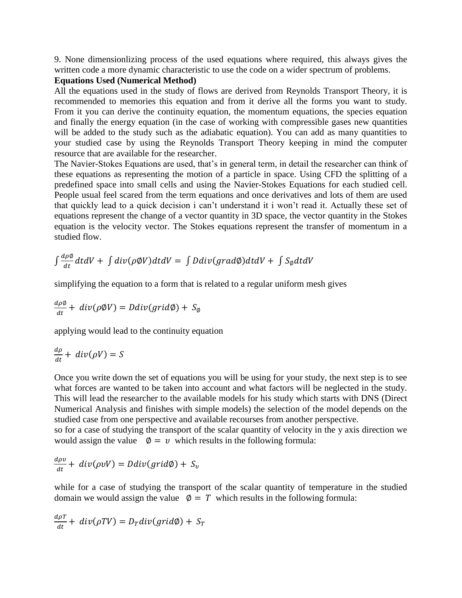9. None dimensionlizing process of the used equations where required, this always gives the written code a more dynamic characteristic to use the code on a wider spectrum of problems.

#### **Equations Used (Numerical Method)**

All the equations used in the study of flows are derived from Reynolds Transport Theory, it is recommended to memories this equation and from it derive all the forms you want to study. From it you can derive the continuity equation, the momentum equations, the species equation and finally the energy equation (in the case of working with compressible gases new quantities will be added to the study such as the adiabatic equation). You can add as many quantities to your studied case by using the Reynolds Transport Theory keeping in mind the computer resource that are available for the researcher.

The Navier-Stokes Equations are used, that's in general term, in detail the researcher can think of these equations as representing the motion of a particle in space. Using CFD the splitting of a predefined space into small cells and using the Navier-Stokes Equations for each studied cell. People usual feel scared from the term equations and once derivatives and lots of them are used that quickly lead to a quick decision i can't understand it i won't read it. Actually these set of equations represent the change of a vector quantity in 3D space, the vector quantity in the Stokes equation is the velocity vector. The Stokes equations represent the transfer of momentum in a studied flow.

$$
\int \frac{d\rho\emptyset}{dt} dt dV + \int div(\rho\emptyset V) dt dV = \int Ddiv(grad\emptyset) dt dV + \int S_{\emptyset} dt dV
$$

simplifying the equation to a form that is related to a regular uniform mesh gives

$$
\frac{d\rho\emptyset}{dt} + div(\rho\emptyset V) = Ddiv(grid\emptyset) + S_{\emptyset}
$$

applying would lead to the continuity equation

$$
\frac{d\rho}{dt} + div(\rho V) = S
$$

Once you write down the set of equations you will be using for your study, the next step is to see what forces are wanted to be taken into account and what factors will be neglected in the study. This will lead the researcher to the available models for his study which starts with DNS (Direct Numerical Analysis and finishes with simple models) the selection of the model depends on the studied case from one perspective and available recourses from another perspective.

so for a case of studying the transport of the scalar quantity of velocity in the y axis direction we would assign the value  $\phi = v$  which results in the following formula:

$$
\frac{d\rho v}{dt} + \ div(\rho v V) = Ddiv(grid\emptyset) + S_v
$$

while for a case of studying the transport of the scalar quantity of temperature in the studied domain we would assign the value  $\phi = T$  which results in the following formula:

$$
\frac{d\rho T}{dt} + div(\rho T V) = D_T div(grid\phi) + S_T
$$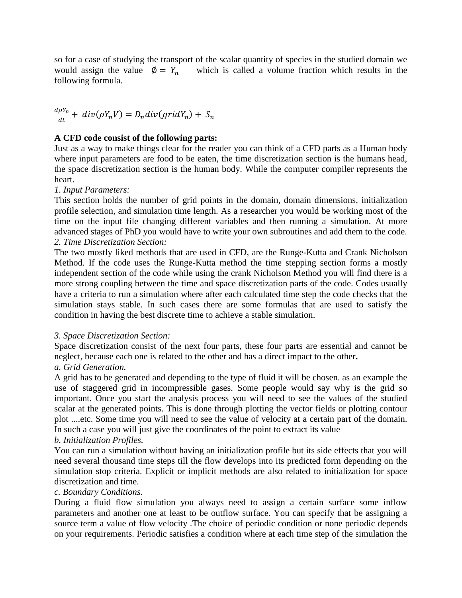so for a case of studying the transport of the scalar quantity of species in the studied domain we would assign the value  $\phi = Y_n$  which is called a volume fraction which results in the following formula.

$$
\frac{d\rho Y_n}{dt} + \ div(\rho Y_n V) = D_n \text{div}(\text{grid} Y_n) + S_n
$$

## **A CFD code consist of the following parts:**

Just as a way to make things clear for the reader you can think of a CFD parts as a Human body where input parameters are food to be eaten, the time discretization section is the humans head, the space discretization section is the human body. While the computer compiler represents the heart.

## *1. Input Parameters:*

This section holds the number of grid points in the domain, domain dimensions, initialization profile selection, and simulation time length. As a researcher you would be working most of the time on the input file changing different variables and then running a simulation. At more advanced stages of PhD you would have to write your own subroutines and add them to the code. *2. Time Discretization Section:* 

The two mostly liked methods that are used in CFD, are the Runge-Kutta and Crank Nicholson Method. If the code uses the Runge-Kutta method the time stepping section forms a mostly independent section of the code while using the crank Nicholson Method you will find there is a more strong coupling between the time and space discretization parts of the code. Codes usually have a criteria to run a simulation where after each calculated time step the code checks that the simulation stays stable. In such cases there are some formulas that are used to satisfy the condition in having the best discrete time to achieve a stable simulation.

## *3. Space Discretization Section:*

Space discretization consist of the next four parts, these four parts are essential and cannot be neglect, because each one is related to the other and has a direct impact to the other**.** 

# *a. Grid Generation.*

A grid has to be generated and depending to the type of fluid it will be chosen. as an example the use of staggered grid in incompressible gases. Some people would say why is the grid so important. Once you start the analysis process you will need to see the values of the studied scalar at the generated points. This is done through plotting the vector fields or plotting contour plot ....etc. Some time you will need to see the value of velocity at a certain part of the domain. In such a case you will just give the coordinates of the point to extract its value

# *b. Initialization Profiles.*

You can run a simulation without having an initialization profile but its side effects that you will need several thousand time steps till the flow develops into its predicted form depending on the simulation stop criteria. Explicit or implicit methods are also related to initialization for space discretization and time.

## *c. Boundary Conditions.*

During a fluid flow simulation you always need to assign a certain surface some inflow parameters and another one at least to be outflow surface. You can specify that be assigning a source term a value of flow velocity .The choice of periodic condition or none periodic depends on your requirements. Periodic satisfies a condition where at each time step of the simulation the